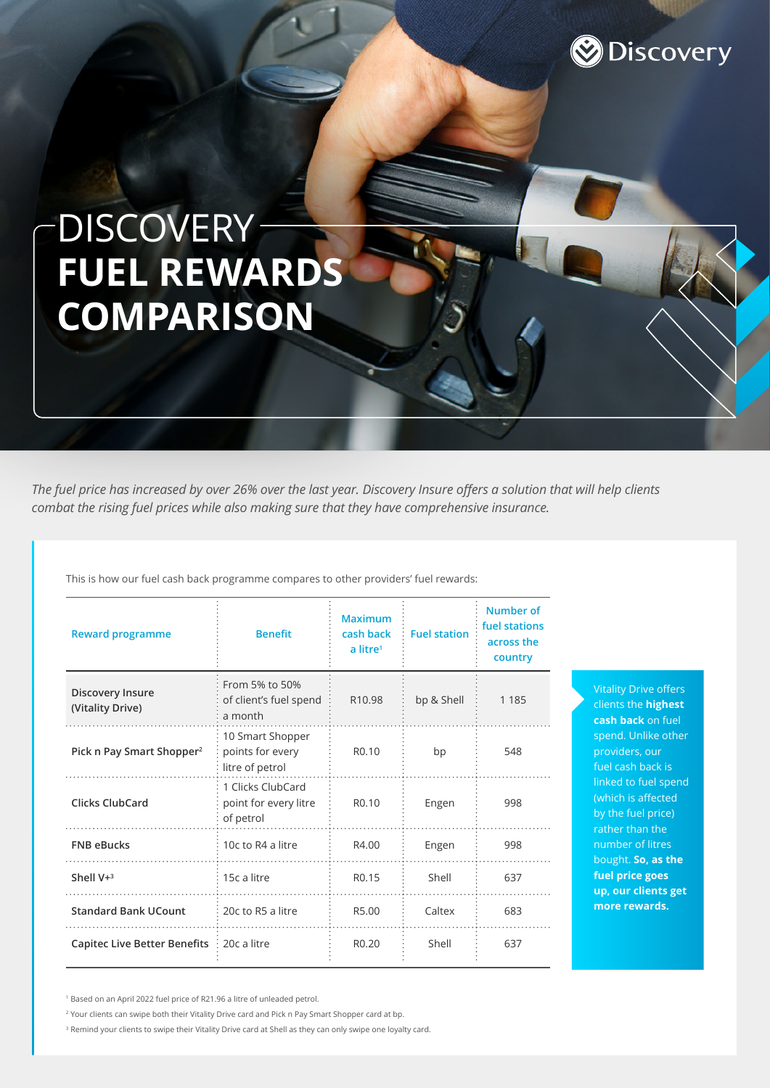

# DISCOVERY-**FUEL REWARDS COMPARISON**

*The fuel price has increased by over 26% over the last year. Discovery Insure offers a solution that will help clients combat the rising fuel prices while also making sure that they have comprehensive insurance.* 

This is how our fuel cash back programme compares to other providers' fuel rewards:

| <b>Reward programme</b>               | <b>Benefit</b>                                          | <b>Maximum</b><br>cash back<br>a litre <sup>1</sup> | <b>Fuel station</b> | <b>Number of</b><br>fuel stations<br>across the<br>country |
|---------------------------------------|---------------------------------------------------------|-----------------------------------------------------|---------------------|------------------------------------------------------------|
| Discovery Insure<br>(Vitality Drive)  | From 5% to 50%<br>of client's fuel spend<br>a month     | R <sub>10.98</sub>                                  | bp & Shell          | 1 1 8 5                                                    |
| Pick n Pay Smart Shopper <sup>2</sup> | 10 Smart Shopper<br>points for every<br>litre of petrol | R <sub>0.10</sub>                                   | bp                  | 548                                                        |
| <b>Clicks ClubCard</b>                | 1 Clicks ClubCard<br>point for every litre<br>of petrol | R <sub>0.10</sub>                                   | Engen               | 998                                                        |
| <b>FNB eBucks</b>                     | 10c to R4 a litre                                       | R4.00                                               | Engen               | 998                                                        |
| Shell $V+3$                           | 15c a litre                                             | R <sub>0.15</sub>                                   | Shell               | 637                                                        |
| <b>Standard Bank UCount</b>           | 20c to R5 a litre                                       | R5.00                                               | Caltex              | 683                                                        |
| <b>Capitec Live Better Benefits</b>   | $: 20c$ a litre                                         | R <sub>0.20</sub>                                   | Shell               | 637                                                        |

Vitality Drive offers clients the **highest cash back** on fuel spend. Unlike other providers, our fuel cash back is linked to fuel spend (which is affected by the fuel price) rather than the number of litres bought. **So, as the fuel price goes up, our clients get more rewards.**

1 Based on an April 2022 fuel price of R21.96 a litre of unleaded petrol.

<sup>2</sup> Your clients can swipe both their Vitality Drive card and Pick n Pay Smart Shopper card at bp.

<sup>3</sup> Remind your clients to swipe their Vitality Drive card at Shell as they can only swipe one loyalty card.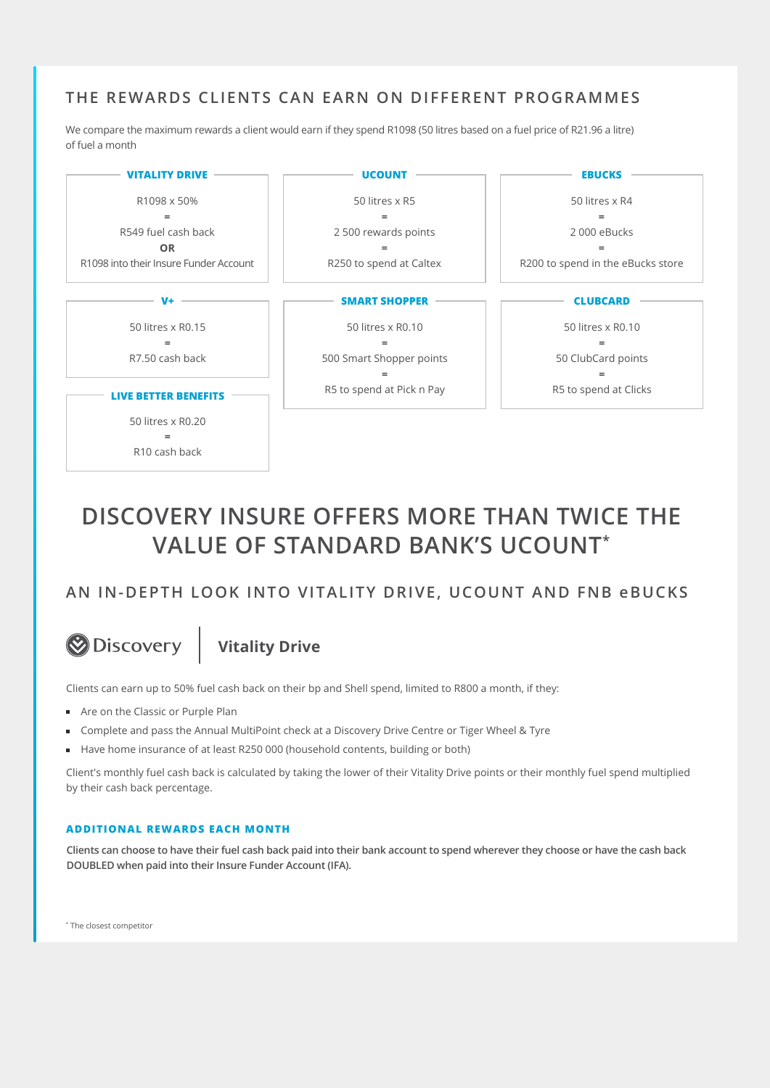### **THE REWARDS CLIENTS CAN EARN ON DIFFERENT PROGRAMMES**

We compare the maximum rewards a client would earn if they spend R1098 (50 litres based on a fuel price of R21.96 a litre) of fuel a month



## **DISCOVERY INSURE OFFERS MORE THAN TWICE THE VALUE OF STANDARD BANK'S UCOUNT\***

### **AN IN-DEPTH LOOK INTO VITALITY DRIVE, UCOUNT AND FNB eBUCKS**

# **Discovery**

**Vitality Drive**

Clients can earn up to 50% fuel cash back on their bp and Shell spend, limited to R800 a month, if they:

- Are on the Classic or Purple Plan
- Complete and pass the Annual MultiPoint check at a Discovery Drive Centre or Tiger Wheel & Tyre
- Have home insurance of at least R250 000 (household contents, building or both)

Client's monthly fuel cash back is calculated by taking the lower of their Vitality Drive points or their monthly fuel spend multiplied by their cash back percentage.

#### **ADDITIONAL REWARDS EACH MONTH**

**Clients can choose to have their fuel cash back paid into their bank account to spend wherever they choose or have the cash back DOUBLED when paid into their Insure Funder Account (IFA).**

\* The closest competitor